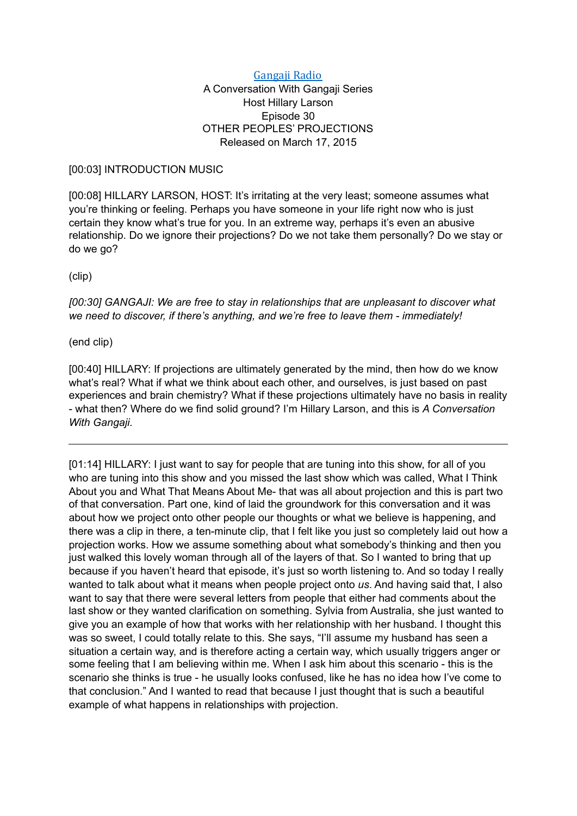## Gangaji Radio

## A Conversation With Gangaji Series Host Hillary Larson Episode 30 OTHER PEOPLES' PROJECTIONS Released on March 17, 2015

## [00:03] INTRODUCTION MUSIC

[00:08] HILLARY LARSON, HOST: It's irritating at the very least; someone assumes what you're thinking or feeling. Perhaps you have someone in your life right now who is just certain they know what's true for you. In an extreme way, perhaps it's even an abusive relationship. Do we ignore their projections? Do we not take them personally? Do we stay or do we go?

(clip)

*[00:30] GANGAJI: We are free to stay in relationships that are unpleasant to discover what we need to discover, if there's anything, and we're free to leave them - immediately!* 

(end clip)

[00:40] HILLARY: If projections are ultimately generated by the mind, then how do we know what's real? What if what we think about each other, and ourselves, is just based on past experiences and brain chemistry? What if these projections ultimately have no basis in reality - what then? Where do we find solid ground? I'm Hillary Larson, and this is *A Conversation With Gangaji.*

[01:14] HILLARY: I just want to say for people that are tuning into this show, for all of you who are tuning into this show and you missed the last show which was called, What I Think About you and What That Means About Me- that was all about projection and this is part two of that conversation. Part one, kind of laid the groundwork for this conversation and it was about how we project onto other people our thoughts or what we believe is happening, and there was a clip in there, a ten-minute clip, that I felt like you just so completely laid out how a projection works. How we assume something about what somebody's thinking and then you just walked this lovely woman through all of the layers of that. So I wanted to bring that up because if you haven't heard that episode, it's just so worth listening to. And so today I really wanted to talk about what it means when people project onto *us*. And having said that, I also want to say that there were several letters from people that either had comments about the last show or they wanted clarification on something. Sylvia from Australia, she just wanted to give you an example of how that works with her relationship with her husband. I thought this was so sweet, I could totally relate to this. She says, "I'll assume my husband has seen a situation a certain way, and is therefore acting a certain way, which usually triggers anger or some feeling that I am believing within me. When I ask him about this scenario - this is the scenario she thinks is true - he usually looks confused, like he has no idea how I've come to that conclusion." And I wanted to read that because I just thought that is such a beautiful example of what happens in relationships with projection.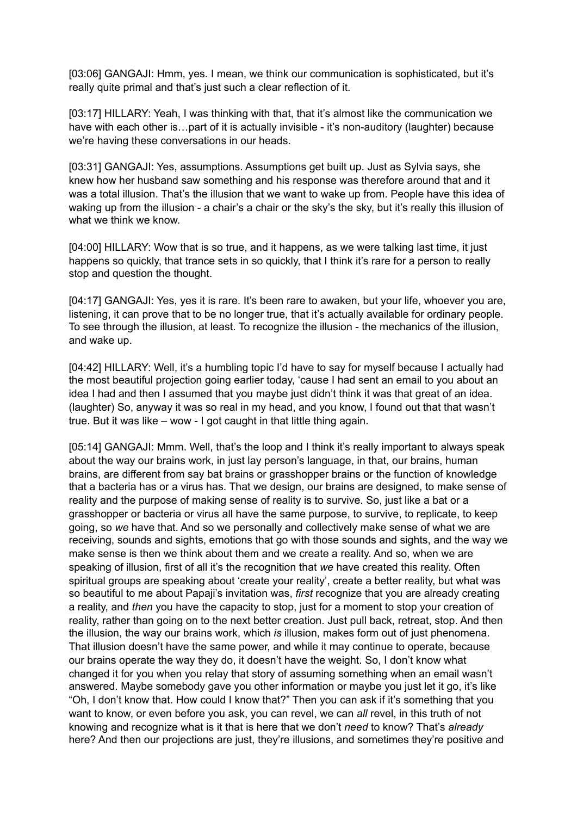[03:06] GANGAJI: Hmm, yes. I mean, we think our communication is sophisticated, but it's really quite primal and that's just such a clear reflection of it.

[03:17] HILLARY: Yeah, I was thinking with that, that it's almost like the communication we have with each other is...part of it is actually invisible - it's non-auditory (laughter) because we're having these conversations in our heads.

[03:31] GANGAJI: Yes, assumptions. Assumptions get built up. Just as Sylvia says, she knew how her husband saw something and his response was therefore around that and it was a total illusion. That's the illusion that we want to wake up from. People have this idea of waking up from the illusion - a chair's a chair or the sky's the sky, but it's really this illusion of what we think we know.

[04:00] HILLARY: Wow that is so true, and it happens, as we were talking last time, it just happens so quickly, that trance sets in so quickly, that I think it's rare for a person to really stop and question the thought.

[04:17] GANGAJI: Yes, yes it is rare. It's been rare to awaken, but your life, whoever you are, listening, it can prove that to be no longer true, that it's actually available for ordinary people. To see through the illusion, at least. To recognize the illusion - the mechanics of the illusion, and wake up.

[04:42] HILLARY: Well, it's a humbling topic I'd have to say for myself because I actually had the most beautiful projection going earlier today, 'cause I had sent an email to you about an idea I had and then I assumed that you maybe just didn't think it was that great of an idea. (laughter) So, anyway it was so real in my head, and you know, I found out that that wasn't true. But it was like – wow - I got caught in that little thing again.

[05:14] GANGAJI: Mmm. Well, that's the loop and I think it's really important to always speak about the way our brains work, in just lay person's language, in that, our brains, human brains, are different from say bat brains or grasshopper brains or the function of knowledge that a bacteria has or a virus has. That we design, our brains are designed, to make sense of reality and the purpose of making sense of reality is to survive. So, just like a bat or a grasshopper or bacteria or virus all have the same purpose, to survive, to replicate, to keep going, so *we* have that. And so we personally and collectively make sense of what we are receiving, sounds and sights, emotions that go with those sounds and sights, and the way we make sense is then we think about them and we create a reality. And so, when we are speaking of illusion, first of all it's the recognition that *we* have created this reality. Often spiritual groups are speaking about 'create your reality', create a better reality, but what was so beautiful to me about Papaji's invitation was, *first* recognize that you are already creating a reality, and *then* you have the capacity to stop, just for a moment to stop your creation of reality, rather than going on to the next better creation. Just pull back, retreat, stop. And then the illusion, the way our brains work, which *is* illusion, makes form out of just phenomena. That illusion doesn't have the same power, and while it may continue to operate, because our brains operate the way they do, it doesn't have the weight. So, I don't know what changed it for you when you relay that story of assuming something when an email wasn't answered. Maybe somebody gave you other information or maybe you just let it go, it's like "Oh, I don't know that. How could I know that?" Then you can ask if it's something that you want to know, or even before you ask, you can revel, we can *all* revel, in this truth of not knowing and recognize what is it that is here that we don't *need* to know? That's *already*  here? And then our projections are just, they're illusions, and sometimes they're positive and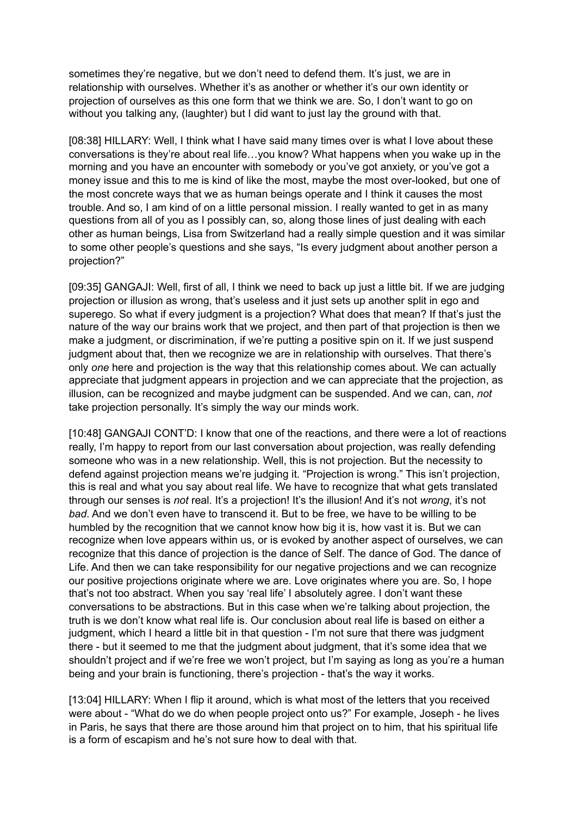sometimes they're negative, but we don't need to defend them. It's just, we are in relationship with ourselves. Whether it's as another or whether it's our own identity or projection of ourselves as this one form that we think we are. So, I don't want to go on without you talking any, (laughter) but I did want to just lay the ground with that.

[08:38] HILLARY: Well, I think what I have said many times over is what I love about these conversations is they're about real life…you know? What happens when you wake up in the morning and you have an encounter with somebody or you've got anxiety, or you've got a money issue and this to me is kind of like the most, maybe the most over-looked, but one of the most concrete ways that we as human beings operate and I think it causes the most trouble. And so, I am kind of on a little personal mission. I really wanted to get in as many questions from all of you as I possibly can, so, along those lines of just dealing with each other as human beings, Lisa from Switzerland had a really simple question and it was similar to some other people's questions and she says, "Is every judgment about another person a projection?"

[09:35] GANGAJI: Well, first of all, I think we need to back up just a little bit. If we are judging projection or illusion as wrong, that's useless and it just sets up another split in ego and superego. So what if every judgment is a projection? What does that mean? If that's just the nature of the way our brains work that we project, and then part of that projection is then we make a judgment, or discrimination, if we're putting a positive spin on it. If we just suspend judgment about that, then we recognize we are in relationship with ourselves. That there's only *one* here and projection is the way that this relationship comes about. We can actually appreciate that judgment appears in projection and we can appreciate that the projection, as illusion, can be recognized and maybe judgment can be suspended. And we can, can, *not* take projection personally. It's simply the way our minds work.

[10:48] GANGAJI CONT'D: I know that one of the reactions, and there were a lot of reactions really, I'm happy to report from our last conversation about projection, was really defending someone who was in a new relationship. Well, this is not projection. But the necessity to defend against projection means we're judging it. "Projection is wrong." This isn't projection, this is real and what you say about real life. We have to recognize that what gets translated through our senses is *not* real. It's a projection! It's the illusion! And it's not *wrong*, it's not *bad*. And we don't even have to transcend it. But to be free, we have to be willing to be humbled by the recognition that we cannot know how big it is, how vast it is. But we can recognize when love appears within us, or is evoked by another aspect of ourselves, we can recognize that this dance of projection is the dance of Self. The dance of God. The dance of Life. And then we can take responsibility for our negative projections and we can recognize our positive projections originate where we are. Love originates where you are. So, I hope that's not too abstract. When you say 'real life' I absolutely agree. I don't want these conversations to be abstractions. But in this case when we're talking about projection, the truth is we don't know what real life is. Our conclusion about real life is based on either a judgment, which I heard a little bit in that question - I'm not sure that there was judgment there - but it seemed to me that the judgment about judgment, that it's some idea that we shouldn't project and if we're free we won't project, but I'm saying as long as you're a human being and your brain is functioning, there's projection - that's the way it works.

[13:04] HILLARY: When I flip it around, which is what most of the letters that you received were about - "What do we do when people project onto us?" For example, Joseph - he lives in Paris, he says that there are those around him that project on to him, that his spiritual life is a form of escapism and he's not sure how to deal with that.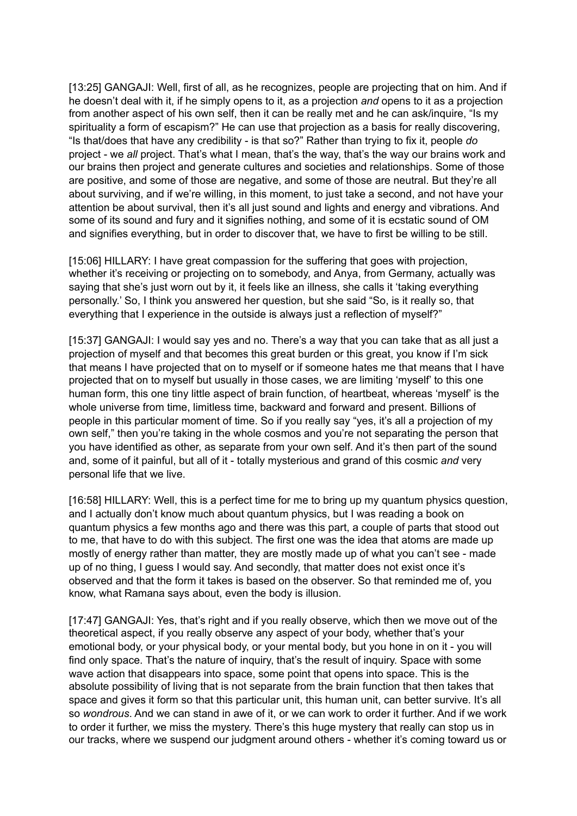[13:25] GANGAJI: Well, first of all, as he recognizes, people are projecting that on him. And if he doesn't deal with it, if he simply opens to it, as a projection *and* opens to it as a projection from another aspect of his own self, then it can be really met and he can ask/inquire, "Is my spirituality a form of escapism?" He can use that projection as a basis for really discovering, "Is that/does that have any credibility - is that so?" Rather than trying to fix it, people *do* project - we *all* project. That's what I mean, that's the way, that's the way our brains work and our brains then project and generate cultures and societies and relationships. Some of those are positive, and some of those are negative, and some of those are neutral. But they're all about surviving, and if we're willing, in this moment, to just take a second, and not have your attention be about survival, then it's all just sound and lights and energy and vibrations. And some of its sound and fury and it signifies nothing, and some of it is ecstatic sound of OM and signifies everything, but in order to discover that, we have to first be willing to be still.

[15:06] HILLARY: I have great compassion for the suffering that goes with projection, whether it's receiving or projecting on to somebody, and Anya, from Germany, actually was saying that she's just worn out by it, it feels like an illness, she calls it 'taking everything personally.' So, I think you answered her question, but she said "So, is it really so, that everything that I experience in the outside is always just a reflection of myself?"

[15:37] GANGAJI: I would say yes and no. There's a way that you can take that as all just a projection of myself and that becomes this great burden or this great, you know if I'm sick that means I have projected that on to myself or if someone hates me that means that I have projected that on to myself but usually in those cases, we are limiting 'myself' to this one human form, this one tiny little aspect of brain function, of heartbeat, whereas 'myself' is the whole universe from time, limitless time, backward and forward and present. Billions of people in this particular moment of time. So if you really say "yes, it's all a projection of my own self," then you're taking in the whole cosmos and you're not separating the person that you have identified as other, as separate from your own self. And it's then part of the sound and, some of it painful, but all of it - totally mysterious and grand of this cosmic *and* very personal life that we live.

[16:58] HILLARY: Well, this is a perfect time for me to bring up my quantum physics question, and I actually don't know much about quantum physics, but I was reading a book on quantum physics a few months ago and there was this part, a couple of parts that stood out to me, that have to do with this subject. The first one was the idea that atoms are made up mostly of energy rather than matter, they are mostly made up of what you can't see - made up of no thing, I guess I would say. And secondly, that matter does not exist once it's observed and that the form it takes is based on the observer. So that reminded me of, you know, what Ramana says about, even the body is illusion.

[17:47] GANGAJI: Yes, that's right and if you really observe, which then we move out of the theoretical aspect, if you really observe any aspect of your body, whether that's your emotional body, or your physical body, or your mental body, but you hone in on it - you will find only space. That's the nature of inquiry, that's the result of inquiry. Space with some wave action that disappears into space, some point that opens into space. This is the absolute possibility of living that is not separate from the brain function that then takes that space and gives it form so that this particular unit, this human unit, can better survive. It's all so *wondrous*. And we can stand in awe of it, or we can work to order it further. And if we work to order it further, we miss the mystery. There's this huge mystery that really can stop us in our tracks, where we suspend our judgment around others - whether it's coming toward us or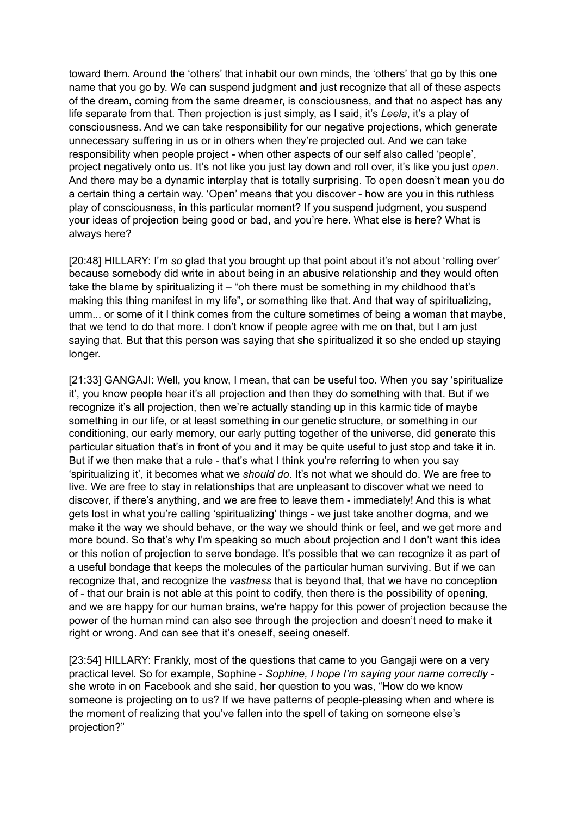toward them. Around the 'others' that inhabit our own minds, the 'others' that go by this one name that you go by. We can suspend judgment and just recognize that all of these aspects of the dream, coming from the same dreamer, is consciousness, and that no aspect has any life separate from that. Then projection is just simply, as I said, it's *Leela*, it's a play of consciousness. And we can take responsibility for our negative projections, which generate unnecessary suffering in us or in others when they're projected out. And we can take responsibility when people project - when other aspects of our self also called 'people', project negatively onto us. It's not like you just lay down and roll over, it's like you just *open*. And there may be a dynamic interplay that is totally surprising. To open doesn't mean you do a certain thing a certain way. 'Open' means that you discover - how are you in this ruthless play of consciousness, in this particular moment? If you suspend judgment, you suspend your ideas of projection being good or bad, and you're here. What else is here? What is always here?

[20:48] HILLARY: I'm *so* glad that you brought up that point about it's not about 'rolling over' because somebody did write in about being in an abusive relationship and they would often take the blame by spiritualizing it – "oh there must be something in my childhood that's making this thing manifest in my life", or something like that. And that way of spiritualizing, umm... or some of it I think comes from the culture sometimes of being a woman that maybe, that we tend to do that more. I don't know if people agree with me on that, but I am just saying that. But that this person was saying that she spiritualized it so she ended up staying longer.

[21:33] GANGAJI: Well, you know, I mean, that can be useful too. When you say 'spiritualize it', you know people hear it's all projection and then they do something with that. But if we recognize it's all projection, then we're actually standing up in this karmic tide of maybe something in our life, or at least something in our genetic structure, or something in our conditioning, our early memory, our early putting together of the universe, did generate this particular situation that's in front of you and it may be quite useful to just stop and take it in. But if we then make that a rule - that's what I think you're referring to when you say 'spiritualizing it', it becomes what we *should do*. It's not what we should do. We are free to live. We are free to stay in relationships that are unpleasant to discover what we need to discover, if there's anything, and we are free to leave them - immediately! And this is what gets lost in what you're calling 'spiritualizing' things - we just take another dogma, and we make it the way we should behave, or the way we should think or feel, and we get more and more bound. So that's why I'm speaking so much about projection and I don't want this idea or this notion of projection to serve bondage. It's possible that we can recognize it as part of a useful bondage that keeps the molecules of the particular human surviving. But if we can recognize that, and recognize the *vastness* that is beyond that, that we have no conception of - that our brain is not able at this point to codify, then there is the possibility of opening, and we are happy for our human brains, we're happy for this power of projection because the power of the human mind can also see through the projection and doesn't need to make it right or wrong. And can see that it's oneself, seeing oneself.

[23:54] HILLARY: Frankly, most of the questions that came to you Gangaji were on a very practical level. So for example, Sophine - *Sophine, I hope I'm saying your name correctly*  she wrote in on Facebook and she said, her question to you was, "How do we know someone is projecting on to us? If we have patterns of people-pleasing when and where is the moment of realizing that you've fallen into the spell of taking on someone else's projection?"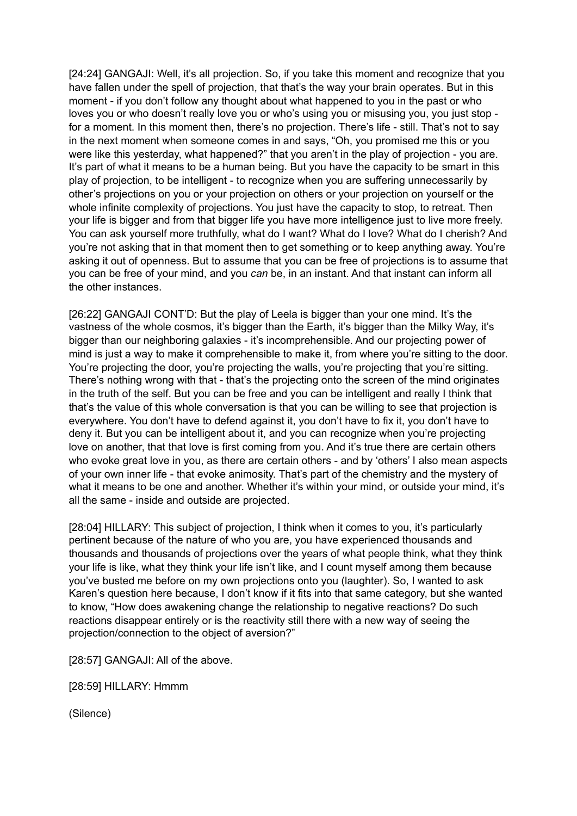[24:24] GANGAJI: Well, it's all projection. So, if you take this moment and recognize that you have fallen under the spell of projection, that that's the way your brain operates. But in this moment - if you don't follow any thought about what happened to you in the past or who loves you or who doesn't really love you or who's using you or misusing you, you just stop for a moment. In this moment then, there's no projection. There's life - still. That's not to say in the next moment when someone comes in and says, "Oh, you promised me this or you were like this yesterday, what happened?" that you aren't in the play of projection - you are. It's part of what it means to be a human being. But you have the capacity to be smart in this play of projection, to be intelligent - to recognize when you are suffering unnecessarily by other's projections on you or your projection on others or your projection on yourself or the whole infinite complexity of projections. You just have the capacity to stop, to retreat. Then your life is bigger and from that bigger life you have more intelligence just to live more freely. You can ask yourself more truthfully, what do I want? What do I love? What do I cherish? And you're not asking that in that moment then to get something or to keep anything away. You're asking it out of openness. But to assume that you can be free of projections is to assume that you can be free of your mind, and you *can* be, in an instant. And that instant can inform all the other instances.

[26:22] GANGAJI CONT'D: But the play of Leela is bigger than your one mind. It's the vastness of the whole cosmos, it's bigger than the Earth, it's bigger than the Milky Way, it's bigger than our neighboring galaxies - it's incomprehensible. And our projecting power of mind is just a way to make it comprehensible to make it, from where you're sitting to the door. You're projecting the door, you're projecting the walls, you're projecting that you're sitting. There's nothing wrong with that - that's the projecting onto the screen of the mind originates in the truth of the self. But you can be free and you can be intelligent and really I think that that's the value of this whole conversation is that you can be willing to see that projection is everywhere. You don't have to defend against it, you don't have to fix it, you don't have to deny it. But you can be intelligent about it, and you can recognize when you're projecting love on another, that that love is first coming from you. And it's true there are certain others who evoke great love in you, as there are certain others - and by 'others' I also mean aspects of your own inner life - that evoke animosity. That's part of the chemistry and the mystery of what it means to be one and another. Whether it's within your mind, or outside your mind, it's all the same - inside and outside are projected.

[28:04] HILLARY: This subject of projection, I think when it comes to you, it's particularly pertinent because of the nature of who you are, you have experienced thousands and thousands and thousands of projections over the years of what people think, what they think your life is like, what they think your life isn't like, and I count myself among them because you've busted me before on my own projections onto you (laughter). So, I wanted to ask Karen's question here because, I don't know if it fits into that same category, but she wanted to know, "How does awakening change the relationship to negative reactions? Do such reactions disappear entirely or is the reactivity still there with a new way of seeing the projection/connection to the object of aversion?"

[28:57] GANGAJI: All of the above.

[28:59] HILLARY: Hmmm

(Silence)